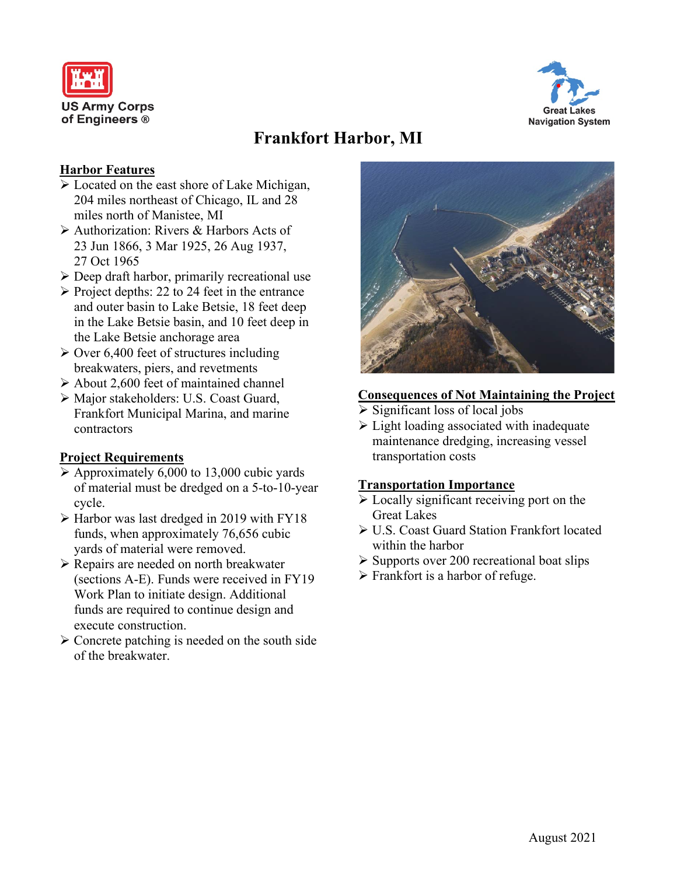



# **Frankfort Harbor, MI**

## **Harbor Features**

- Located on the east shore of Lake Michigan, 204 miles northeast of Chicago, IL and 28 miles north of Manistee, MI
- Authorization: Rivers & Harbors Acts of 23 Jun 1866, 3 Mar 1925, 26 Aug 1937, 27 Oct 1965
- $\triangleright$  Deep draft harbor, primarily recreational use
- $\triangleright$  Project depths: 22 to 24 feet in the entrance and outer basin to Lake Betsie, 18 feet deep in the Lake Betsie basin, and 10 feet deep in the Lake Betsie anchorage area
- $\geq$  Over 6,400 feet of structures including breakwaters, piers, and revetments
- $\triangleright$  About 2,600 feet of maintained channel
- Major stakeholders: U.S. Coast Guard, Frankfort Municipal Marina, and marine contractors

## **Project Requirements**

- $\triangleright$  Approximately 6,000 to 13,000 cubic yards of material must be dredged on a 5-to-10-year cycle.
- $\triangleright$  Harbor was last dredged in 2019 with FY18 funds, when approximately 76,656 cubic yards of material were removed.
- Repairs are needed on north breakwater (sections A-E). Funds were received in FY19 Work Plan to initiate design. Additional funds are required to continue design and execute construction.
- $\triangleright$  Concrete patching is needed on the south side of the breakwater.



## **Consequences of Not Maintaining the Project**

- $\triangleright$  Significant loss of local jobs
- $\triangleright$  Light loading associated with inadequate maintenance dredging, increasing vessel transportation costs

## **Transportation Importance**

- Locally significant receiving port on the Great Lakes
- U.S. Coast Guard Station Frankfort located within the harbor
- $\triangleright$  Supports over 200 recreational boat slips
- $\triangleright$  Frankfort is a harbor of refuge.